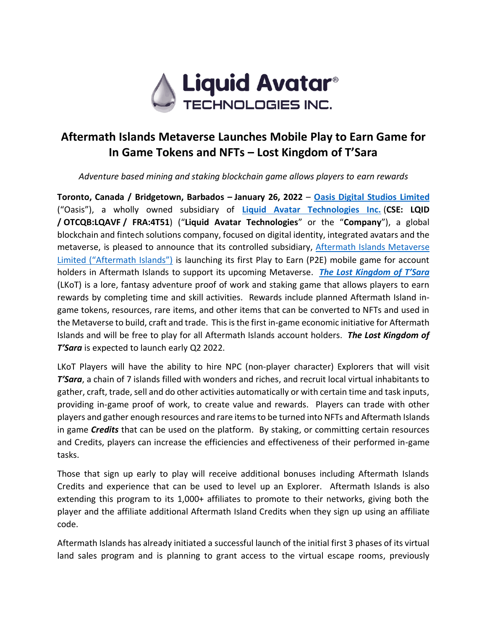

# **Aftermath Islands Metaverse Launches Mobile Play to Earn Game for In Game Tokens and NFTs – Lost Kingdom of T'Sara**

*Adventure based mining and staking blockchain game allows players to earn rewards*

**Toronto, Canada / Bridgetown, Barbados – January 26, 2022** – **[Oasis Digital Studios](https://oasisdigitalstudios.com/) Limited** ("Oasis"), a wholly owned subsidiary of **[Liquid Avatar Technologies Inc.](https://liquidavatartechnologies.com/)** (**CSE: LQID / OTCQB:LQAVF / FRA:4T51**) ("**Liquid Avatar Technologies**" or the "**Company**"), a global blockchain and fintech solutions company, focused on digital identity, integrated avatars and the metaverse, is pleased to announce that its controlled subsidiary, [Aftermath Islands Metaverse](http://www.aftermathislands.com/) Limited ("Aftermath Islands") is launching its first Play to Earn (P2E) mobile game for account holders in Aftermath Islands to support its upcoming Metaverse. *[The Lost Kingdom of T'Sara](http://aftermathislands.com/lost-kingdom-of-tsara)* (LKoT) is a lore, fantasy adventure proof of work and staking game that allows players to earn rewards by completing time and skill activities. Rewards include planned Aftermath Island ingame tokens, resources, rare items, and other items that can be converted to NFTs and used in the Metaverse to build, craft and trade. This is the first in-game economic initiative for Aftermath Islands and will be free to play for all Aftermath Islands account holders. *The Lost Kingdom of T'Sara* is expected to launch early Q2 2022.

LKoT Players will have the ability to hire NPC (non-player character) Explorers that will visit *T'Sara*, a chain of 7 islands filled with wonders and riches, and recruit local virtual inhabitants to gather, craft, trade, sell and do other activities automatically or with certain time and task inputs, providing in-game proof of work, to create value and rewards. Players can trade with other players and gather enough resources and rare items to be turned into NFTs and Aftermath Islands in game *Credits* that can be used on the platform. By staking, or committing certain resources and Credits, players can increase the efficiencies and effectiveness of their performed in-game tasks.

Those that sign up early to play will receive additional bonuses including Aftermath Islands Credits and experience that can be used to level up an Explorer. Aftermath Islands is also extending this program to its 1,000+ affiliates to promote to their networks, giving both the player and the affiliate additional Aftermath Island Credits when they sign up using an affiliate code.

Aftermath Islands has already initiated a successful launch of the initial first 3 phases of its virtual land sales program and is planning to grant access to the virtual escape rooms, previously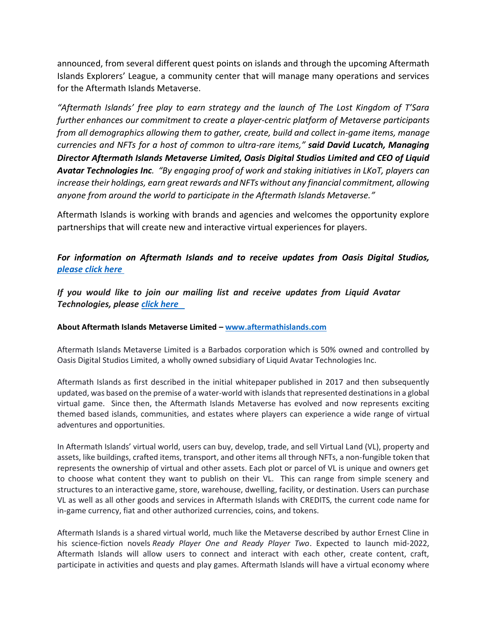announced, from several different quest points on islands and through the upcoming Aftermath Islands Explorers' League, a community center that will manage many operations and services for the Aftermath Islands Metaverse.

*"Aftermath Islands' free play to earn strategy and the launch of The Lost Kingdom of T'Sara further enhances our commitment to create a player-centric platform of Metaverse participants from all demographics allowing them to gather, create, build and collect in-game items, manage currencies and NFTs for a host of common to ultra-rare items," said David Lucatch, Managing Director Aftermath Islands Metaverse Limited, Oasis Digital Studios Limited and CEO of Liquid Avatar Technologies Inc. "By engaging proof of work and staking initiatives in LKoT, players can increase their holdings, earn great rewards and NFTs without any financial commitment, allowing anyone from around the world to participate in the Aftermath Islands Metaverse."*

Aftermath Islands is working with brands and agencies and welcomes the opportunity explore partnerships that will create new and interactive virtual experiences for players.

## *For information on Aftermath Islands and to receive updates from Oasis Digital Studios, please [click here](https://share.hsforms.com/1bSgqjoO8SjmF58FU9WhPyA4rqa5)*

*If you would like to join our mailing list and receive updates from Liquid Avatar Technologies, please [click here](https://hello.liquidavatar.com/liquid-avatar-updates)* 

### **About Aftermath Islands Metaverse Limited – [www.aftermathislands.com](https://aftermathislands.com/)**

Aftermath Islands Metaverse Limited is a Barbados corporation which is 50% owned and controlled by Oasis Digital Studios Limited, a wholly owned subsidiary of Liquid Avatar Technologies Inc.

Aftermath Islands as first described in the initial whitepaper published in 2017 and then subsequently updated, was based on the premise of a water-world with islands that represented destinations in a global virtual game. Since then, the Aftermath Islands Metaverse has evolved and now represents exciting themed based islands, communities, and estates where players can experience a wide range of virtual adventures and opportunities.

In Aftermath Islands' virtual world, users can buy, develop, trade, and sell Virtual Land (VL), property and assets, like buildings, crafted items, transport, and other items all through NFTs, a non-fungible token that represents the ownership of virtual and other assets. Each plot or parcel of VL is unique and owners get to choose what content they want to publish on their VL. This can range from simple scenery and structures to an interactive game, store, warehouse, dwelling, facility, or destination. Users can purchase VL as well as all other goods and services in Aftermath Islands with CREDITS, the current code name for in-game currency, fiat and other authorized currencies, coins, and tokens.

Aftermath Islands is a shared virtual world, much like the Metaverse described by author Ernest Cline in his science-fiction novels *Ready Player One and Ready Player Two*. Expected to launch mid-2022, Aftermath Islands will allow users to connect and interact with each other, create content, craft, participate in activities and quests and play games. Aftermath Islands will have a virtual economy where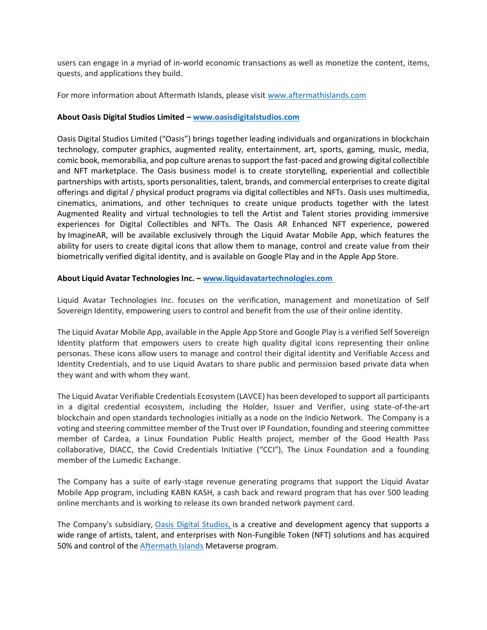users can engage in a myriad of in-world economic transactions as well as monetize the content, items, quests, and applications they build.

For more information about Aftermath Islands, please visit [www.aftermathislands.com](https://aftermathislands.com/)

#### **About Oasis Digital Studios Limited – [www.oasisdigitalstudios.com](https://oasisdigitalstudios.com/)**

Oasis Digital Studios Limited ("Oasis") brings together leading individuals and organizations in blockchain technology, computer graphics, augmented reality, entertainment, art, sports, gaming, music, media, comic book, memorabilia, and pop culture arenas to support the fast-paced and growing digital collectible and NFT marketplace. The Oasis business model is to create storytelling, experiential and collectible partnerships with artists, sports personalities, talent, brands, and commercial enterprises to create digital offerings and digital / physical product programs via digital collectibles and NFTs. Oasis uses multimedia, cinematics, animations, and other techniques to create unique products together with the latest Augmented Reality and virtual technologies to tell the Artist and Talent stories providing immersive experiences for Digital Collectibles and NFTs. The Oasis AR Enhanced NFT experience, powered by ImagineAR, will be available exclusively through the Liquid Avatar Mobile App, which features the ability for users to create digital icons that allow them to manage, control and create value from their biometrically verified digital identity, and is available on Google Play and in the Apple App Store.

#### **About Liquid Avatar Technologies Inc. – [www.liquidavatartechnologies.com](http://www.liquidavatartechnologies.com/)**

Liquid Avatar Technologies Inc. focuses on the verification, management and monetization of Self Sovereign Identity, empowering users to control and benefit from the use of their online identity.

The Liquid Avatar Mobile App, available in the Apple App Store and Google Play is a verified Self Sovereign Identity platform that empowers users to create high quality digital icons representing their online personas. These icons allow users to manage and control their digital identity and Verifiable Access and Identity Credentials, and to use Liquid Avatars to share public and permission based private data when they want and with whom they want.

The Liquid Avatar Verifiable Credentials Ecosystem (LAVCE) has been developed to support all participants in a digital credential ecosystem, including the Holder, Issuer and Verifier, using state-of-the-art blockchain and open standards technologies initially as a node on the Indicio Network. The Company is a voting and steering committee member of the Trust over IP Foundation, founding and steering committee member of Cardea, a Linux Foundation Public Health project, member of the Good Health Pass collaborative, DIACC, the Covid Credentials Initiative ("CCI"), The Linux Foundation and a founding member of the Lumedic Exchange.

The Company has a suite of early-stage revenue generating programs that support the Liquid Avatar Mobile App program, including KABN KASH, a cash back and reward program that has over 500 leading online merchants and is working to release its own branded network payment card.

The Company's subsidiary, [Oasis Digital Studios,](http://www.oasisdigitalstudios.com/) is a creative and development agency that supports a wide range of artists, talent, and enterprises with Non-Fungible Token (NFT) solutions and has acquired 50% and control of the [Aftermath Islands](http://www.aftermathislands.com/) Metaverse program.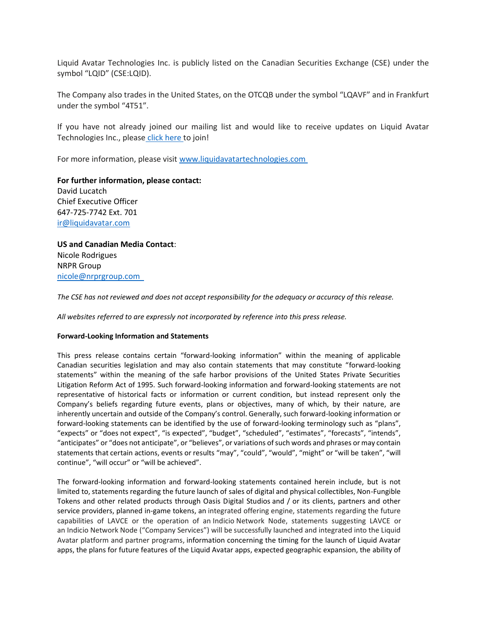Liquid Avatar Technologies Inc. is publicly listed on the Canadian Securities Exchange (CSE) under the symbol "LQID" (CSE:LQID).

The Company also trades in the United States, on the OTCQB under the symbol "LQAVF" and in Frankfurt under the symbol "4T51".

If you have not already joined our mailing list and would like to receive updates on Liquid Avatar Technologies Inc., please [click here](https://hello.liquidavatar.com/liquid-avatar-updates) to join!

For more information, please visit [www.liquidavatartechnologies.com](http://www.liquidavatartechnologies.com/)

**For further information, please contact:** David Lucatch Chief Executive Officer 647-725-7742 Ext. 701 [ir@liquidavatar.com](mailto:ir@liquidavatar.com)

#### **US and Canadian Media Contact**: Nicole Rodrigues NRPR Group [nicole@nrprgroup.com](mailto:nicole@nrprgroup.com)

*The CSE has not reviewed and does not accept responsibility for the adequacy or accuracy of this release.*

*All websites referred to are expressly not incorporated by reference into this press release.*

#### **Forward-Looking Information and Statements**

This press release contains certain "forward-looking information" within the meaning of applicable Canadian securities legislation and may also contain statements that may constitute "forward-looking statements" within the meaning of the safe harbor provisions of the United States Private Securities Litigation Reform Act of 1995. Such forward-looking information and forward-looking statements are not representative of historical facts or information or current condition, but instead represent only the Company's beliefs regarding future events, plans or objectives, many of which, by their nature, are inherently uncertain and outside of the Company's control. Generally, such forward-looking information or forward-looking statements can be identified by the use of forward-looking terminology such as "plans", "expects" or "does not expect", "is expected", "budget", "scheduled", "estimates", "forecasts", "intends", "anticipates" or "does not anticipate", or "believes", or variations of such words and phrases or may contain statements that certain actions, events or results "may", "could", "would", "might" or "will be taken", "will continue", "will occur" or "will be achieved".

The forward-looking information and forward-looking statements contained herein include, but is not limited to, statements regarding the future launch of sales of digital and physical collectibles, Non-Fungible Tokens and other related products through Oasis Digital Studios and / or its clients, partners and other service providers, planned in-game tokens, an integrated offering engine, statements regarding the future capabilities of LAVCE or the operation of an Indicio Network Node, statements suggesting LAVCE or an Indicio Network Node ("Company Services") will be successfully launched and integrated into the Liquid Avatar platform and partner programs, information concerning the timing for the launch of Liquid Avatar apps, the plans for future features of the Liquid Avatar apps, expected geographic expansion, the ability of